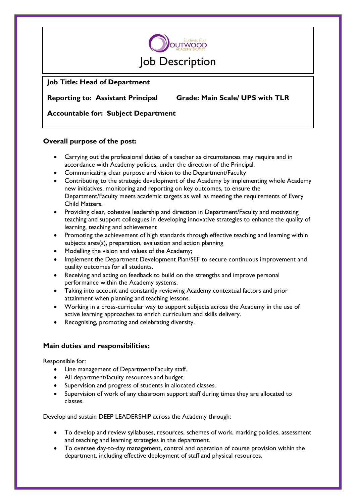

# **Job Title: Head of Department**

**Reporting to: Assistant Principal Grade: Main Scale/ UPS with TLR**

**Accountable for: Subject Department**

## **Overall purpose of the post:**

- Carrying out the professional duties of a teacher as circumstances may require and in accordance with Academy policies, under the direction of the Principal.
- Communicating clear purpose and vision to the Department/Faculty
- Contributing to the strategic development of the Academy by implementing whole Academy new initiatives, monitoring and reporting on key outcomes, to ensure the Department/Faculty meets academic targets as well as meeting the requirements of Every Child Matters.
- Providing clear, cohesive leadership and direction in Department/Faculty and motivating teaching and support colleagues in developing innovative strategies to enhance the quality of learning, teaching and achievement
- Promoting the achievement of high standards through effective teaching and learning within subjects area(s), preparation, evaluation and action planning
- Modelling the vision and values of the Academy;
- Implement the Department Development Plan/SEF to secure continuous improvement and quality outcomes for all students.
- Receiving and acting on feedback to build on the strengths and improve personal performance within the Academy systems.
- Taking into account and constantly reviewing Academy contextual factors and prior attainment when planning and teaching lessons.
- Working in a cross-curricular way to support subjects across the Academy in the use of active learning approaches to enrich curriculum and skills delivery.
- Recognising, promoting and celebrating diversity.

## **Main duties and responsibilities:**

Responsible for:

- Line management of Department/Faculty staff.
- All department/faculty resources and budget.
- Supervision and progress of students in allocated classes.
- Supervision of work of any classroom support staff during times they are allocated to classes.

Develop and sustain DEEP LEADERSHIP across the Academy through:

- To develop and review syllabuses, resources, schemes of work, marking policies, assessment and teaching and learning strategies in the department.
- To oversee day-to-day management, control and operation of course provision within the department, including effective deployment of staff and physical resources.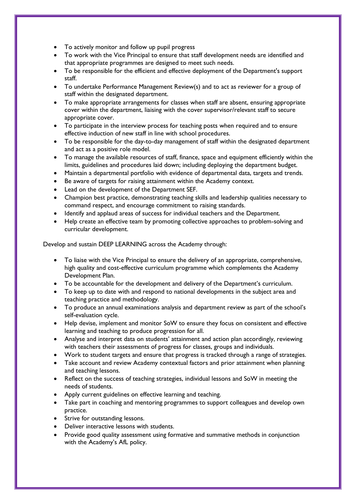- To actively monitor and follow up pupil progress
- To work with the Vice Principal to ensure that staff development needs are identified and that appropriate programmes are designed to meet such needs.
- To be responsible for the efficient and effective deployment of the Department's support staff.
- To undertake Performance Management Review(s) and to act as reviewer for a group of staff within the designated department.
- To make appropriate arrangements for classes when staff are absent, ensuring appropriate cover within the department, liaising with the cover supervisor/relevant staff to secure appropriate cover.
- To participate in the interview process for teaching posts when required and to ensure effective induction of new staff in line with school procedures.
- To be responsible for the day-to-day management of staff within the designated department and act as a positive role model.
- To manage the available resources of staff, finance, space and equipment efficiently within the limits, guidelines and procedures laid down; including deploying the department budget.
- Maintain a departmental portfolio with evidence of departmental data, targets and trends.
- Be aware of targets for raising attainment within the Academy context.
- Lead on the development of the Department SEF.
- Champion best practice, demonstrating teaching skills and leadership qualities necessary to command respect, and encourage commitment to raising standards.
- Identify and applaud areas of success for individual teachers and the Department.
- Help create an effective team by promoting collective approaches to problem-solving and curricular development.

Develop and sustain DEEP LEARNING across the Academy through:

- To liaise with the Vice Principal to ensure the delivery of an appropriate, comprehensive, high quality and cost-effective curriculum programme which complements the Academy Development Plan.
- To be accountable for the development and delivery of the Department's curriculum.
- To keep up to date with and respond to national developments in the subject area and teaching practice and methodology.
- To produce an annual examinations analysis and department review as part of the school's self-evaluation cycle.
- Help devise, implement and monitor SoW to ensure they focus on consistent and effective learning and teaching to produce progression for all.
- Analyse and interpret data on students' attainment and action plan accordingly, reviewing with teachers their assessments of progress for classes, groups and individuals.
- Work to student targets and ensure that progress is tracked through a range of strategies.
- Take account and review Academy contextual factors and prior attainment when planning and teaching lessons.
- Reflect on the success of teaching strategies, individual lessons and SoW in meeting the needs of students.
- Apply current guidelines on effective learning and teaching.
- Take part in coaching and mentoring programmes to support colleagues and develop own practice.
- Strive for outstanding lessons.
- Deliver interactive lessons with students.
- Provide good quality assessment using formative and summative methods in conjunction with the Academy's AfL policy.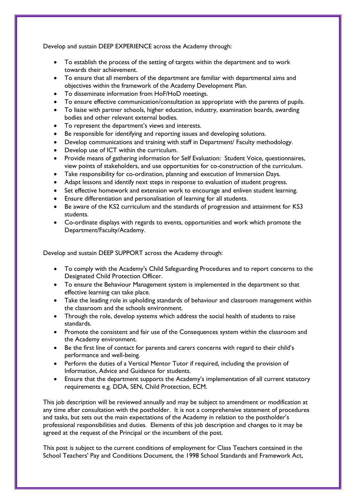Develop and sustain DEEP EXPERIENCE across the Academy through:

- To establish the process of the setting of targets within the department and to work towards their achievement.
- To ensure that all members of the department are familiar with departmental aims and objectives within the framework of the Academy Development Plan.
- To disseminate information from HoF/HoD meetings.
- To ensure effective communication/consultation as appropriate with the parents of pupils.
- To liaise with partner schools, higher education, industry, examination boards, awarding bodies and other relevant external bodies.
- To represent the department's views and interests.
- Be responsible for identifying and reporting issues and developing solutions.
- Develop communications and training with staff in Department/ Faculty methodology.
- Develop use of ICT within the curriculum.
- Provide means of gathering information for Self Evaluation: Student Voice, questionnaires, view points of stakeholders, and use opportunities for co-construction of the curriculum.
- Take responsibility for co-ordination, planning and execution of Immersion Days.
- Adapt lessons and identify next steps in response to evaluation of student progress.
- Set effective homework and extension work to encourage and enliven student learning.
- Ensure differentiation and personalisation of learning for all students.
- Be aware of the KS2 curriculum and the standards of progression and attainment for KS3 students.
- Co-ordinate displays with regards to events, opportunities and work which promote the Department/Faculty/Academy.

Develop and sustain DEEP SUPPORT across the Academy through:

- To comply with the Academy's Child Safeguarding Procedures and to report concerns to the Designated Child Protection Officer.
- To ensure the Behaviour Management system is implemented in the department so that effective learning can take place.
- Take the leading role in upholding standards of behaviour and classroom management within the classroom and the schools environment.
- Through the role, develop systems which address the social health of students to raise standards.
- Promote the consistent and fair use of the Consequences system within the classroom and the Academy environment.
- Be the first line of contact for parents and carers concerns with regard to their child's performance and well-being.
- Perform the duties of a Vertical Mentor Tutor if required, including the provision of Information, Advice and Guidance for students.
- Ensure that the department supports the Academy's implementation of all current statutory requirements e.g. DDA, SEN, Child Protection, ECM.

This job description will be reviewed annually and may be subject to amendment or modification at any time after consultation with the postholder. It is not a comprehensive statement of procedures and tasks, but sets out the main expectations of the Academy in relation to the postholder's professional responsibilities and duties. Elements of this job description and changes to it may be agreed at the request of the Principal or the incumbent of the post.

This post is subject to the current conditions of employment for Class Teachers contained in the School Teachers' Pay and Conditions Document, the 1998 School Standards and Framework Act,